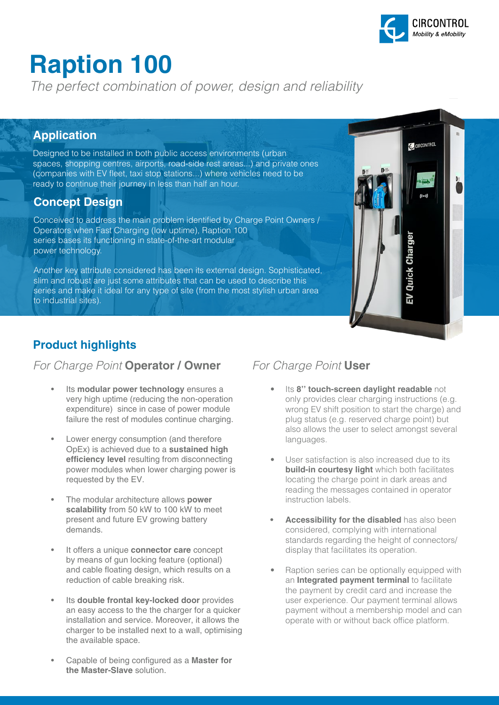

**C** CIRCONTROL

Quick Chaı

# **Raption 100**

*The perfect combination of power, design and reliability*

#### **Application**

Designed to be installed in both public access environments (urban spaces, shopping centres, airports, road-side rest areas...) and private ones (companies with EV fleet, taxi stop stations...) where vehicles need to be ready to continue their journey in less than half an hour.

#### **Concept Design**

Conceived to address the main problem identified by Charge Point Owners / Operators when Fast Charging (low uptime), Raption 100 series bases its functioning in state-of-the-art modular power technology.

Another key attribute considered has been its external design. Sophisticated, slim and robust are just some attributes that can be used to describe this series and make it ideal for any type of site (from the most stylish urban area to industrial sites).

#### **Product highlights**

#### *For Charge Point* **Operator / Owner** *For Charge Point* **User**

- Its **modular power technology** ensures a very high uptime (reducing the non-operation expenditure) since in case of power module failure the rest of modules continue charging.
- Lower energy consumption (and therefore OpEx) is achieved due to a **sustained high efficiency level** resulting from disconnecting power modules when lower charging power is requested by the EV.
- The modular architecture allows **power scalability** from 50 kW to 100 kW to meet present and future EV growing battery demands.
- It offers a unique **connector care** concept by means of gun locking feature (optional) and cable floating design, which results on a reduction of cable breaking risk.
- Its **double frontal key-locked door** provides an easy access to the the charger for a quicker installation and service. Moreover, it allows the charger to be installed next to a wall, optimising the available space.
- Capable of being configured as a **Master for the Master-Slave** solution.

- **Its 8" touch-screen daylight readable** not only provides clear charging instructions (e.g. wrong EV shift position to start the charge) and plug status (e.g. reserved charge point) but also allows the user to select amongst several languages.
- User satisfaction is also increased due to its **build-in courtesy light** which both facilitates locating the charge point in dark areas and reading the messages contained in operator instruction labels.
- **• Accessibility for the disabled** has also been considered, complying with international standards regarding the height of connectors/ display that facilitates its operation.
- Raption series can be optionally equipped with an **Integrated payment terminal** to facilitate the payment by credit card and increase the user experience. Our payment terminal allows payment without a membership model and can operate with or without back office platform.